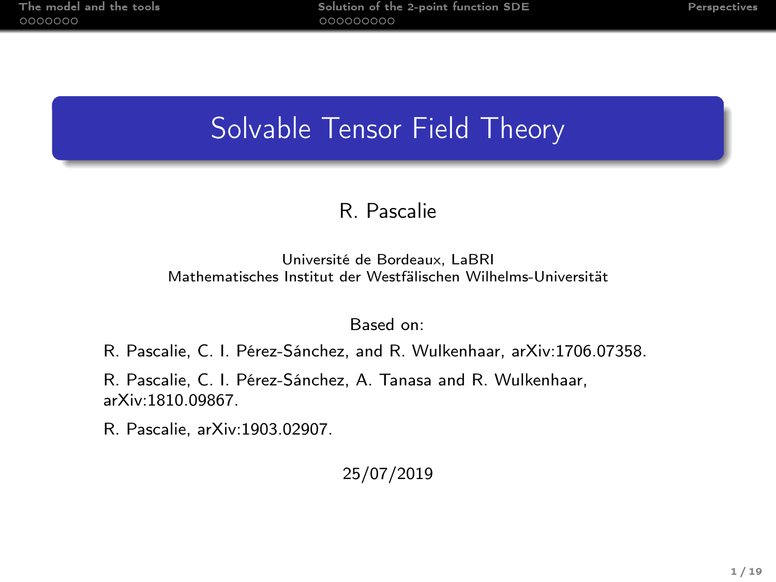# Solvable Tensor Field Theory

### R. Pascalie

#### Université de Bordeaux, LaBRI Mathematisches Institut der Westfälischen Wilhelms-Universität

#### Based on:

R. Pascalie, C. I. Pérez-Sánchez, and R. Wulkenhaar, arXiv:1706.07358.

R. Pascalie, C. I. Pérez-Sánchez, A. Tanasa and R. Wulkenhaar, arXiv:1810.09867.

R. Pascalie, arXiv:1903.02907.

#### 25/07/2019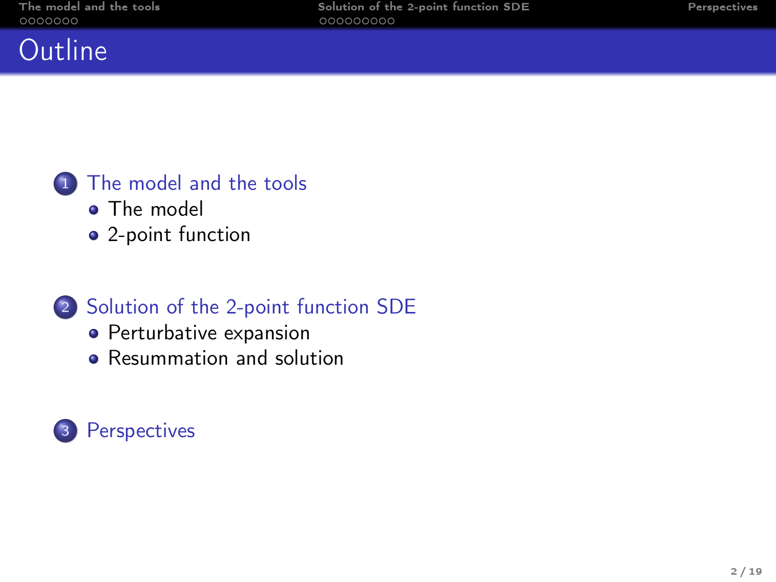### **Outline**

### <sup>1</sup> [The model and the tools](#page-2-0)

- [The model](#page-2-0)
- [2-point function](#page-11-0)

### <sup>2</sup> [Solution of the 2-point function SDE](#page-14-0)

- [Perturbative expansion](#page-14-0)
- [Resummation and solution](#page-19-0)

### <sup>3</sup> [Perspectives](#page-26-0)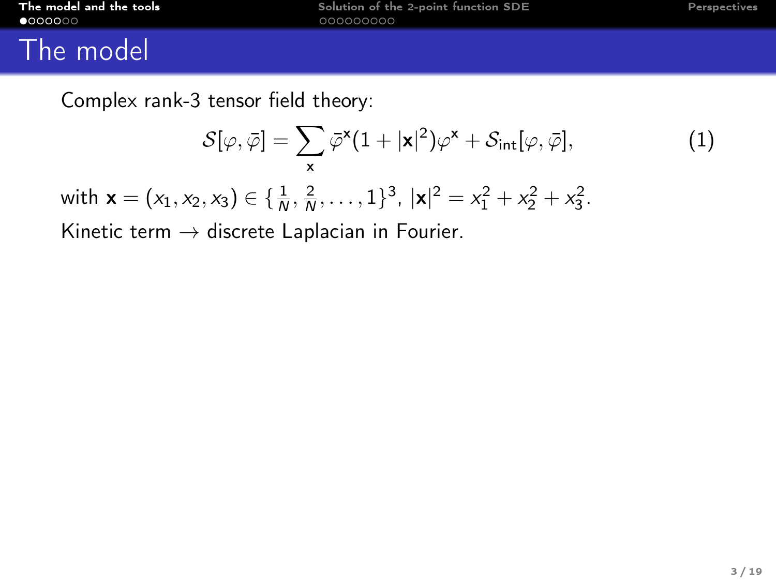<span id="page-2-0"></span>

| The model and the tools |  |  |
|-------------------------|--|--|
| $\bullet$ 000000        |  |  |

### The model

Complex rank-3 tensor field theory:

$$
S[\varphi,\bar{\varphi}] = \sum_{\mathbf{x}} \bar{\varphi}^{\mathbf{x}} (1+|\mathbf{x}|^2) \varphi^{\mathbf{x}} + S_{\text{int}}[\varphi,\bar{\varphi}], \tag{1}
$$

with  $\mathbf{x} = (x_1, x_2, x_3) \in \{\frac{1}{N}, \frac{2}{N}, \dots, 1\}^3$ ,  $|\mathbf{x}|^2 = x_1^2 + x_2^2 + x_3^2$ .

Kinetic term  $\rightarrow$  discrete Laplacian in Fourier.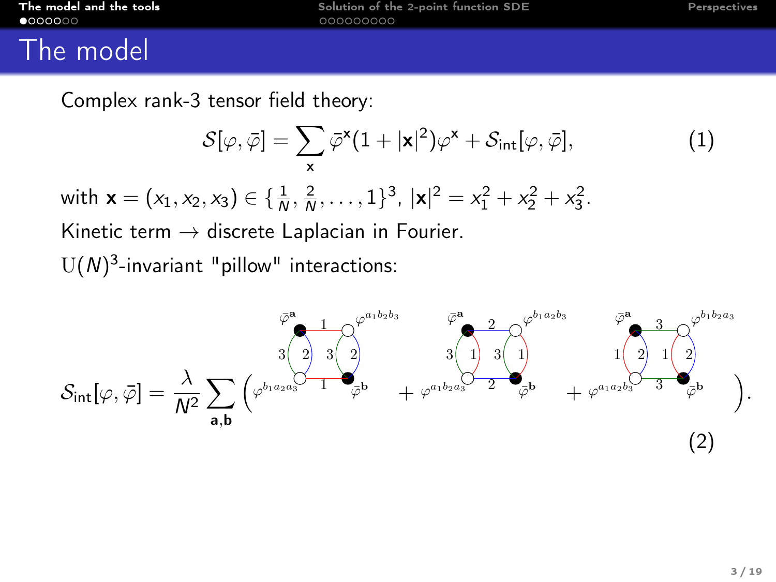### The model

Complex rank-3 tensor field theory:

$$
S[\varphi, \bar{\varphi}] = \sum_{\mathbf{x}} \bar{\varphi}^{\mathbf{x}} (1 + |\mathbf{x}|^2) \varphi^{\mathbf{x}} + S_{\text{int}}[\varphi, \bar{\varphi}], \tag{1}
$$
  
with  $\mathbf{x} = (x_1, x_2, x_3) \in \{\frac{1}{N}, \frac{2}{N}, \dots, 1\}^3$ ,  $|\mathbf{x}|^2 = x_1^2 + x_2^2 + x_3^2$ .  
Kinetic term  $\rightarrow$  discrete Laplacian in Fourier.  
U(N)<sup>3</sup>-invariant "pillow" interactions:

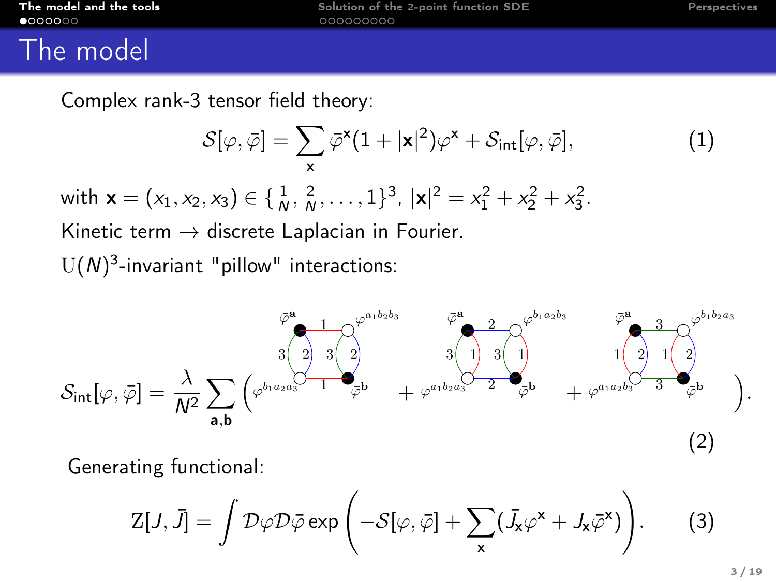### The model

 $U($ 

Complex rank-3 tensor field theory:

$$
S[\varphi, \bar{\varphi}] = \sum_{\mathbf{x}} \bar{\varphi}^{\mathbf{x}} (1 + |\mathbf{x}|^2) \varphi^{\mathbf{x}} + S_{\text{int}}[\varphi, \bar{\varphi}], \tag{1}
$$
  
with  $\mathbf{x} = (x_1, x_2, x_3) \in \{\frac{1}{N}, \frac{2}{N}, \dots, 1\}^3$ ,  $|\mathbf{x}|^2 = x_1^2 + x_2^2 + x_3^2$ .  
Kinetic term  $\rightarrow$  discrete Laplacian in Fourier.  
U(N)<sup>3</sup>-invariant "pillow" interactions:



Generating functional:

$$
Z[J,\bar{J}] = \int \mathcal{D}\varphi \mathcal{D}\bar{\varphi} \exp\left(-\mathcal{S}[\varphi,\bar{\varphi}] + \sum_{\mathbf{x}} (\bar{J}_{\mathbf{x}}\varphi^{\mathbf{x}} + J_{\mathbf{x}}\bar{\varphi}^{\mathbf{x}})\right).
$$
 (3)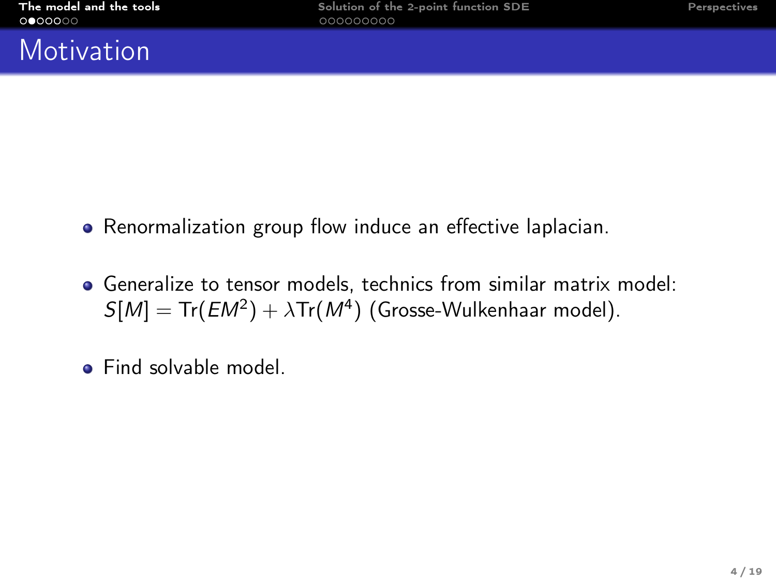### **Motivation**

- Renormalization group flow induce an effective laplacian.
- Generalize to tensor models, technics from similar matrix model:  $S[M] = Tr(EM^2) + \lambda Tr(M^4)$  (Grosse-Wulkenhaar model).
- **•** Find solvable model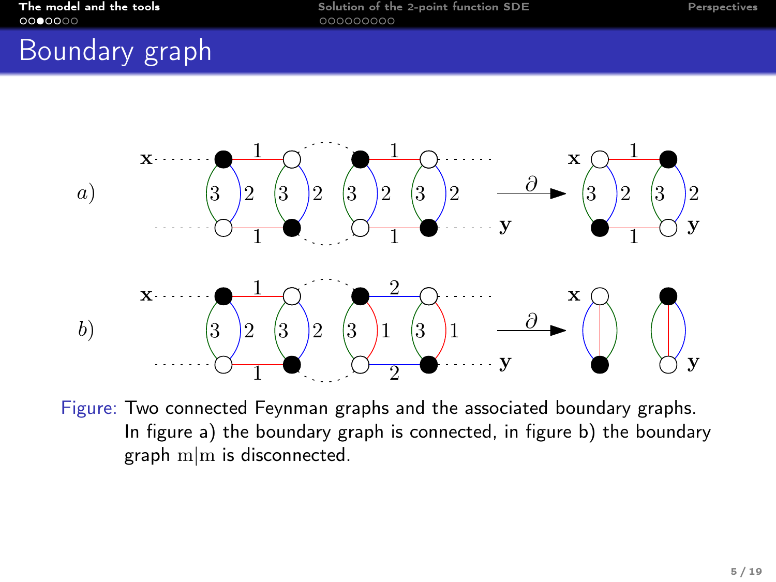### Boundary graph



Figure: Two connected Feynman graphs and the associated boundary graphs. In figure a) the boundary graph is connected, in figure b) the boundary graph m|m is disconnected.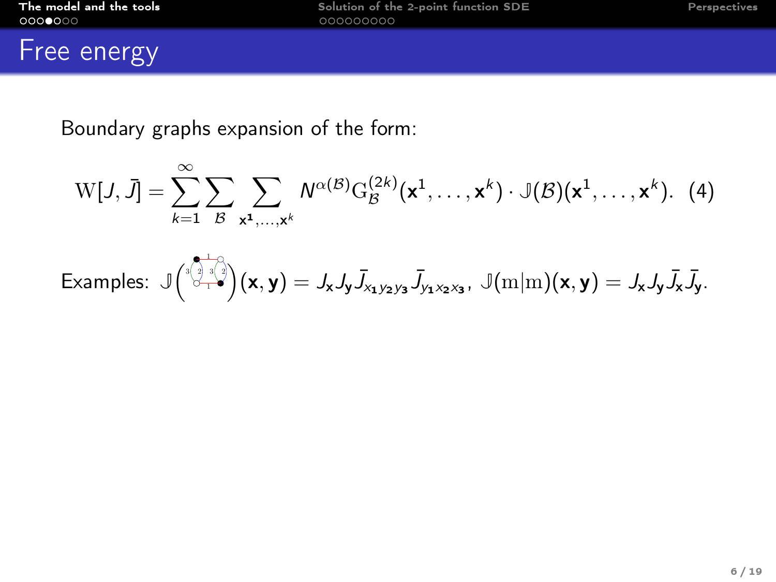## Free energy

Boundary graphs expansion of the form:

$$
W[J, \bar{J}] = \sum_{k=1}^{\infty} \sum_{\mathcal{B}} \sum_{\mathbf{x}^1, \dots, \mathbf{x}^k} N^{\alpha(\mathcal{B})} G_{\mathcal{B}}^{(2k)}(\mathbf{x}^1, \dots, \mathbf{x}^k) \cdot \mathbb{J}(\mathcal{B})(\mathbf{x}^1, \dots, \mathbf{x}^k). (4)
$$

Examples: 
$$
\mathbb{J} \left( \overset{\text{def}}{\underset{\sim}{\sigma_{\text{ref}}}} \mathbb{J} \left( x, y \right) = J_x J_y \overline{J}_{x_1 y_2 y_3} \overline{J}_{y_1 x_2 x_3}, \ \mathbb{J} \left( m|m \right) (x, y) = J_x J_y \overline{J}_x \overline{J}_y.
$$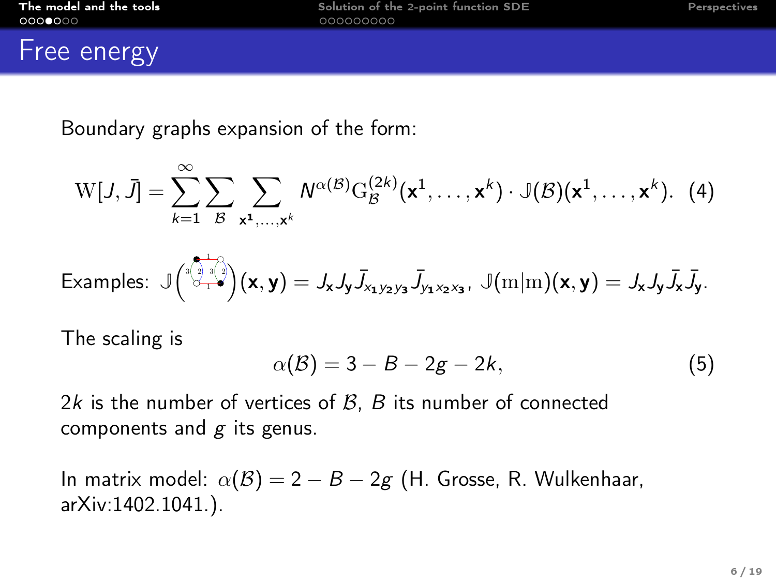### **Free energy**

Boundary graphs expansion of the form:

$$
W[J, \bar{J}] = \sum_{k=1}^{\infty} \sum_{\mathcal{B}} \sum_{\mathbf{x}^1, \dots, \mathbf{x}^k} N^{\alpha(\mathcal{B})} G_{\mathcal{B}}^{(2k)}(\mathbf{x}^1, \dots, \mathbf{x}^k) \cdot \mathbb{J}(\mathcal{B})(\mathbf{x}^1, \dots, \mathbf{x}^k). (4)
$$

Examples: 
$$
\mathbb{J}\left(\overset{\mathbf{a}}{\underset{1}{\otimes}_{1}}\overset{\mathbf{a}}{\underset{2}{\otimes}_{1}}\mathbb{J}\left(\mathbf{x},\mathbf{y}\right)=J_{\mathbf{x}}J_{\mathbf{y}}\overline{J}_{x_{1}y_{2}y_{3}}\overline{J}_{y_{1}x_{2}x_{3}},\ \mathbb{J}(m|m)(\mathbf{x},\mathbf{y})=J_{\mathbf{x}}J_{\mathbf{y}}\overline{J}_{\mathbf{x}}\overline{J}_{\mathbf{y}}.
$$

The scaling is

$$
\alpha(\mathcal{B}) = 3 - B - 2g - 2k, \tag{5}
$$

2k is the number of vertices of  $B$ ,  $B$  its number of connected components and  $g$  its genus.

In matrix model:  $\alpha(\mathcal{B}) = 2 - B - 2g$  (H. Grosse, R. Wulkenhaar, arXiv:1402.1041.).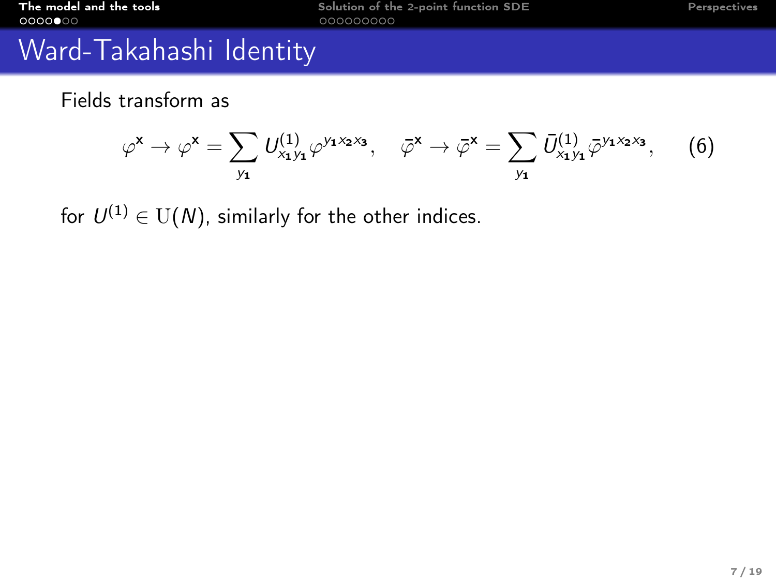# Ward-Takahashi Identity

Fields transform as

$$
\varphi^{\mathsf{x}} \to \varphi^{\mathsf{x}} = \sum_{y_{\mathsf{1}}} U_{x_{\mathsf{1}}y_{\mathsf{1}}}^{(1)} \varphi^{y_{\mathsf{1}}x_{\mathsf{2}}x_{\mathsf{3}}}, \quad \bar{\varphi}^{\mathsf{x}} \to \bar{\varphi}^{\mathsf{x}} = \sum_{y_{\mathsf{1}}} \bar{U}_{x_{\mathsf{1}}y_{\mathsf{1}}}^{(1)} \bar{\varphi}^{y_{\mathsf{1}}x_{\mathsf{2}}x_{\mathsf{3}}}, \quad (6)
$$

for  $U^{(1)}\in\mathrm{U}(N)$ , similarly for the other indices.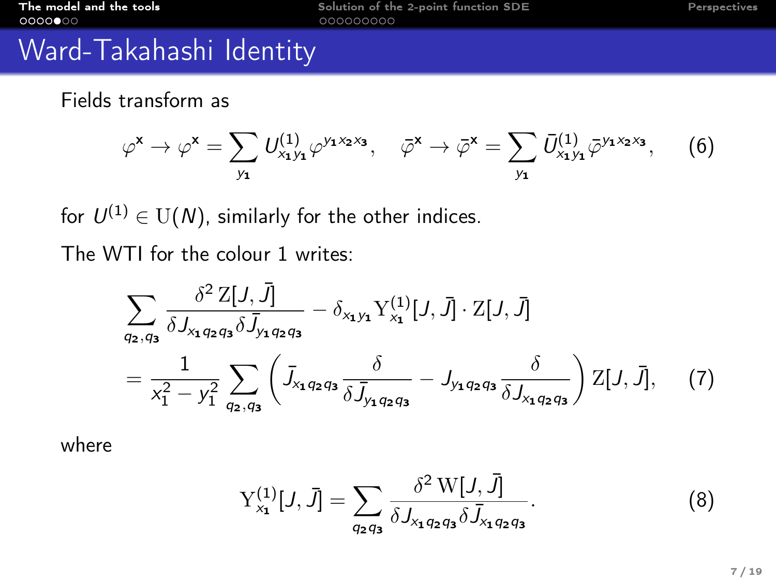# Ward-Takahashi Identity

Fields transform as

$$
\varphi^{\mathsf{x}} \to \varphi^{\mathsf{x}} = \sum_{y_{\mathsf{1}}} U_{x_{\mathsf{1}}y_{\mathsf{1}}}^{(1)} \varphi^{y_{\mathsf{1}}x_{\mathsf{2}}x_{\mathsf{3}}}, \quad \bar{\varphi}^{\mathsf{x}} \to \bar{\varphi}^{\mathsf{x}} = \sum_{y_{\mathsf{1}}} \bar{U}_{x_{\mathsf{1}}y_{\mathsf{1}}}^{(1)} \bar{\varphi}^{y_{\mathsf{1}}x_{\mathsf{2}}x_{\mathsf{3}}}, \quad (6)
$$

for  $U^{(1)}\in\mathrm{U}(N)$ , similarly for the other indices.

The WTI for the colour 1 writes:

$$
\sum_{q_2,q_3} \frac{\delta^2 Z[J,\bar{J}]}{\delta J_{x_1q_2q_3} \delta \bar{J}_{y_1q_2q_3}} - \delta_{x_1y_1} Y_{x_1}^{(1)}[J,\bar{J}] \cdot Z[J,\bar{J}]
$$
  
= 
$$
\frac{1}{x_1^2 - y_1^2} \sum_{q_2,q_3} \left( \bar{J}_{x_1q_2q_3} \frac{\delta}{\delta \bar{J}_{y_1q_2q_3}} - J_{y_1q_2q_3} \frac{\delta}{\delta J_{x_1q_2q_3}} \right) Z[J,\bar{J}], \quad (7)
$$

where

$$
Y_{x_1}^{(1)}[J,\bar{J}] = \sum_{q_2q_3} \frac{\delta^2 W[J,\bar{J}]}{\delta J_{x_1q_2q_3} \delta \bar{J}_{x_1q_2q_3}}.
$$
 (8)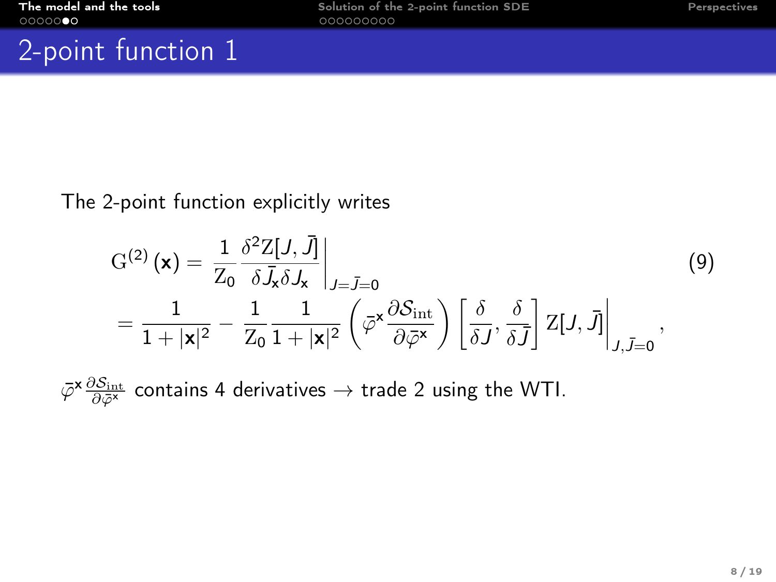## <span id="page-11-0"></span>2-point function 1

#### The 2-point function explicitly writes

$$
G^{(2)}(\mathbf{x}) = \frac{1}{Z_0} \frac{\delta^2 Z[J, \bar{J}]}{\delta \bar{J}_x \delta J_x}\Big|_{J=\bar{J}=0}
$$
\n
$$
= \frac{1}{1+|\mathbf{x}|^2} - \frac{1}{Z_0} \frac{1}{1+|\mathbf{x}|^2} \left( \bar{\varphi}^{\mathbf{x}} \frac{\partial S_{\rm int}}{\partial \bar{\varphi}^{\mathbf{x}}} \right) \left[ \frac{\delta}{\delta J}, \frac{\delta}{\delta \bar{J}} \right] Z[J, \bar{J}] \Big|_{J, \bar{J}=0},
$$
\n(9)

 $\bar \varphi^{\mathbf{x}} \frac{\partial \mathcal{S}_{\mathrm{int}}}{\partial \bar \varphi^{\mathbf{x}}}$  contains 4 derivatives  $\to$  trade 2 using the WTI.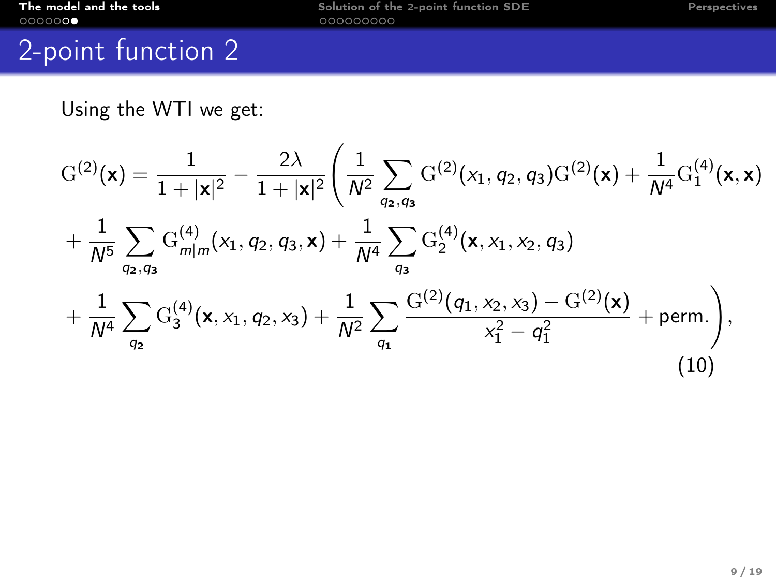# 2-point function 2

 $q<sub>2</sub>$ 

Using the WTI we get:

$$
G^{(2)}(\mathbf{x}) = \frac{1}{1+|\mathbf{x}|^2} - \frac{2\lambda}{1+|\mathbf{x}|^2} \left( \frac{1}{N^2} \sum_{q_2,q_3} G^{(2)}(x_1,q_2,q_3) G^{(2)}(\mathbf{x}) + \frac{1}{N^4} G_1^{(4)}(\mathbf{x},\mathbf{x}) + \frac{1}{N^5} \sum_{q_2,q_3} G_{m|m}^{(4)}(x_1,q_2,q_3,\mathbf{x}) + \frac{1}{N^4} \sum_{q_3} G_2^{(4)}(\mathbf{x},x_1,x_2,q_3) + \frac{1}{N^4} \sum_{q_3} G_3^{(4)}(\mathbf{x},x_1,q_2,x_3) + \frac{1}{N^2} \sum_{q_3} \frac{G^{(2)}(q_1,x_2,x_3) - G^{(2)}(\mathbf{x})}{x_1^2 - q_1^2} + \text{perm.} \right),
$$

 $q_1$ 

(10)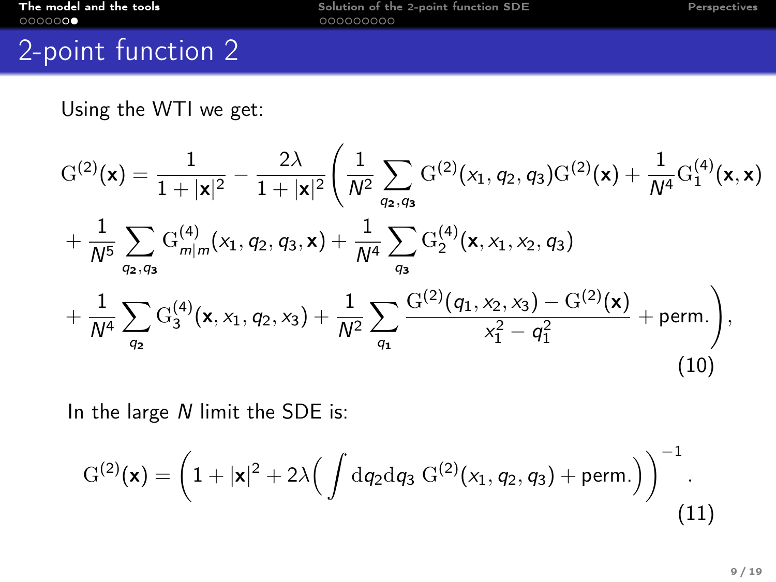## 2-point function 2

Using the WTI we get:

$$
G^{(2)}(\mathbf{x}) = \frac{1}{1+|\mathbf{x}|^2} - \frac{2\lambda}{1+|\mathbf{x}|^2} \left( \frac{1}{N^2} \sum_{q_2,q_3} G^{(2)}(x_1,q_2,q_3) G^{(2)}(\mathbf{x}) + \frac{1}{N^4} G_1^{(4)}(\mathbf{x},\mathbf{x}) + \frac{1}{N^5} \sum_{q_2,q_3} G_{m|m}^{(4)}(x_1,q_2,q_3,\mathbf{x}) + \frac{1}{N^4} \sum_{q_3} G_2^{(4)}(\mathbf{x},x_1,x_2,q_3) + \frac{1}{N^4} \sum_{q_2} G_3^{(4)}(\mathbf{x},x_1,q_2,x_3) + \frac{1}{N^2} \sum_{q_1} \frac{G^{(2)}(q_1,x_2,x_3) - G^{(2)}(\mathbf{x})}{x_1^2 - q_1^2} + \text{perm.} \right),
$$
\n(10)

In the large N limit the SDE is:

$$
G^{(2)}(\mathbf{x}) = \left(1 + |\mathbf{x}|^2 + 2\lambda \Big(\int dq_2 dq_3 G^{(2)}(x_1, q_2, q_3) + \text{perm.}\Big)\right)^{-1}.
$$
\n(11)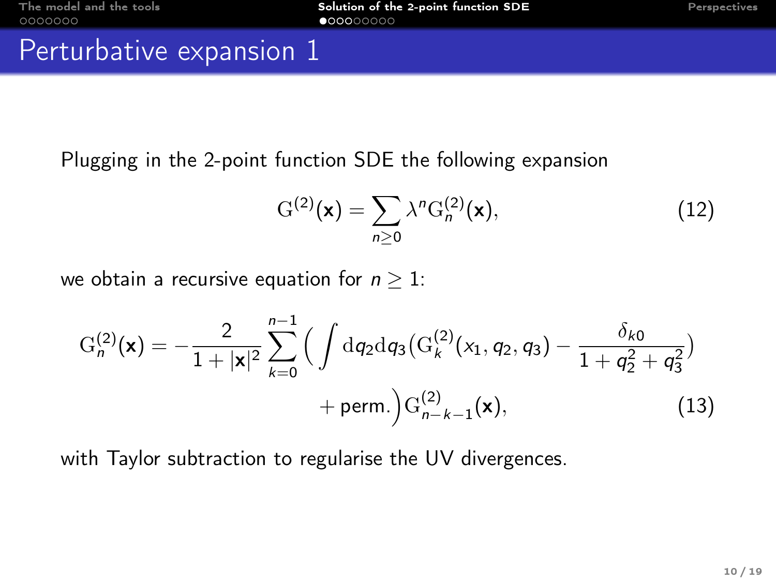## <span id="page-14-0"></span>Perturbative expansion 1

Plugging in the 2-point function SDE the following expansion

$$
G^{(2)}(\mathbf{x}) = \sum_{n\geq 0} \lambda^n G_n^{(2)}(\mathbf{x}),\tag{12}
$$

we obtain a recursive equation for  $n > 1$ :

$$
G_n^{(2)}(\mathbf{x}) = -\frac{2}{1+|\mathbf{x}|^2} \sum_{k=0}^{n-1} \Big( \int dq_2 dq_3 \big( G_k^{(2)}(x_1, q_2, q_3) - \frac{\delta_{k0}}{1+q_2^2+q_3^2} \Big) + \text{perm.} \Big) G_{n-k-1}^{(2)}(\mathbf{x}), \tag{13}
$$

with Taylor subtraction to regularise the UV divergences.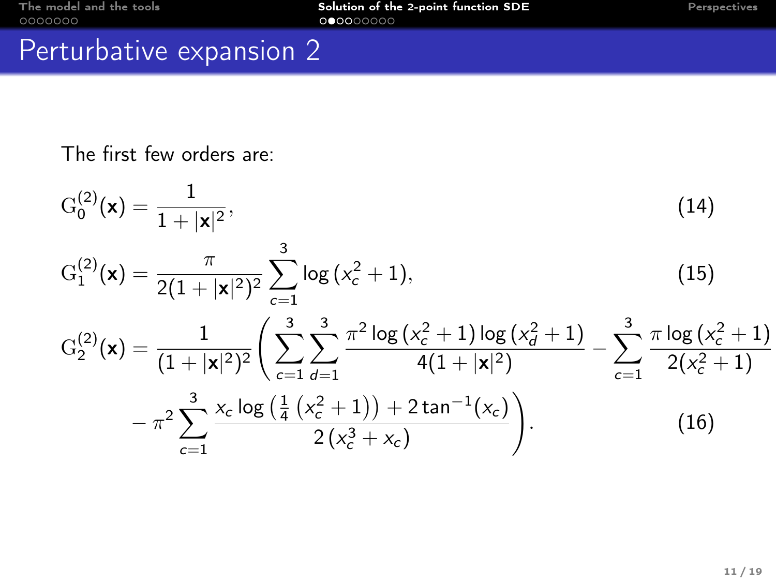# Perturbative expansion 2

The first few orders are:

$$
G_0^{(2)}(\mathbf{x}) = \frac{1}{1+|\mathbf{x}|^2},
$$
\n
$$
G_1^{(2)}(\mathbf{x}) = \frac{\pi}{2(1+|\mathbf{x}|^2)^2} \sum_{c=1}^3 \log(x_c^2+1),
$$
\n
$$
G_2^{(2)}(\mathbf{x}) = \frac{1}{(1+|\mathbf{x}|^2)^2} \left( \sum_{c=1}^3 \sum_{d=1}^3 \frac{\pi^2 \log(x_c^2+1) \log(x_d^2+1)}{4(1+|\mathbf{x}|^2)} - \sum_{c=1}^3 \frac{\pi \log(x_c^2+1)}{2(x_c^2+1)} - \pi^2 \sum_{c=1}^3 \frac{x_c \log(\frac{1}{4}(x_c^2+1)) + 2\tan^{-1}(x_c)}{2(x_c^3+x_c)} \right).
$$
\n(16)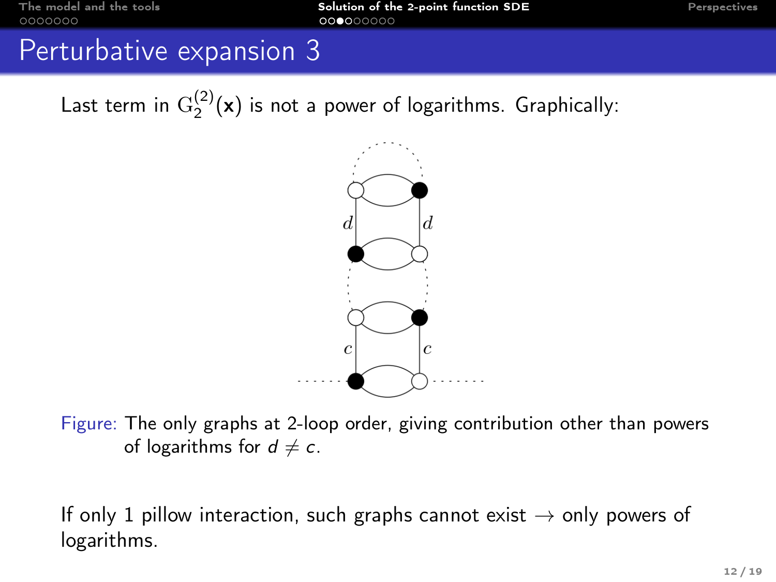### Perturbative expansion 3

Last term in  $\mathrm{G}_2^{(2)}(\mathsf{x})$  is not a power of logarithms. Graphically:



Figure: The only graphs at 2-loop order, giving contribution other than powers of logarithms for  $d \neq c$ .

If only 1 pillow interaction, such graphs cannot exist  $\rightarrow$  only powers of logarithms.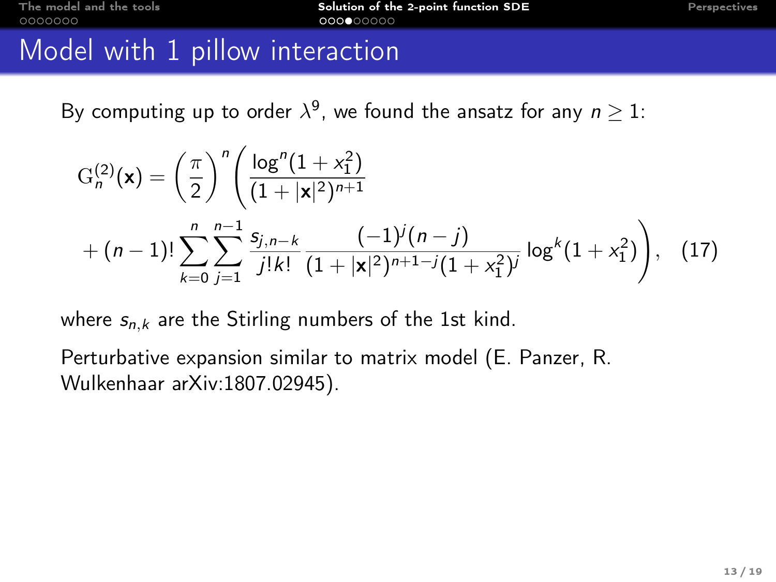### Model with 1 pillow interaction

By computing up to order  $\lambda^9$ , we found the ansatz for any  $n\geq 1$ :

$$
G_n^{(2)}(\mathbf{x}) = \left(\frac{\pi}{2}\right)^n \left(\frac{\log^n(1+x_1^2)}{(1+|\mathbf{x}|^2)^{n+1}} + (n-1)!\sum_{k=0}^n \sum_{j=1}^{n-1} \frac{s_{j,n-k}}{j!k!} \frac{(-1)^j(n-j)}{(1+|\mathbf{x}|^2)^{n+1-j}(1+x_1^2)^j} \log^k(1+x_1^2)\right), \quad (17)
$$

where  $s_{n,k}$  are the Stirling numbers of the 1st kind.

Perturbative expansion similar to matrix model (E. Panzer, R. Wulkenhaar arXiv:1807.02945).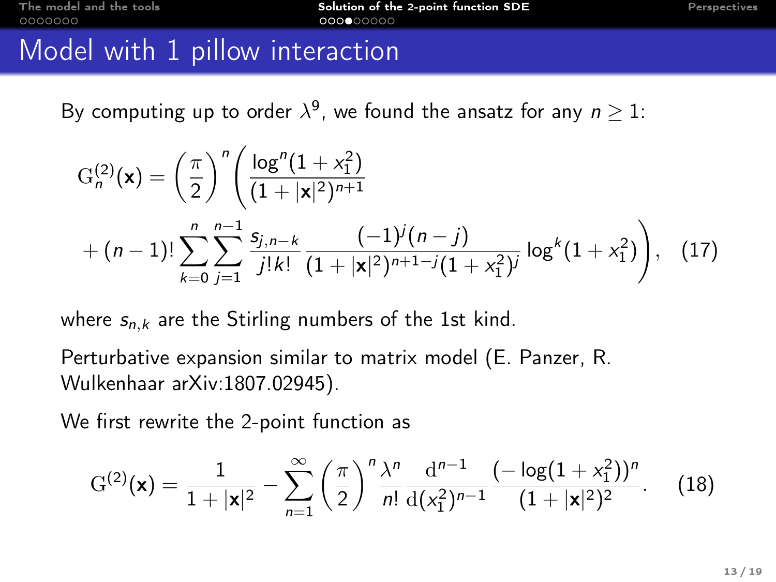### Model with 1 pillow interaction

By computing up to order  $\lambda^9$ , we found the ansatz for any  $n\geq 1$ :

$$
G_n^{(2)}(\mathbf{x}) = \left(\frac{\pi}{2}\right)^n \left(\frac{\log^n(1+x_1^2)}{(1+|\mathbf{x}|^2)^{n+1}} + (n-1)!\sum_{k=0}^n \sum_{j=1}^{n-1} \frac{s_{j,n-k}}{j!k!} \frac{(-1)^j(n-j)}{(1+|\mathbf{x}|^2)^{n+1-j}(1+x_1^2)^j} \log^k(1+x_1^2)\right), \quad (17)
$$

where  $s_{n,k}$  are the Stirling numbers of the 1st kind.

Perturbative expansion similar to matrix model (E. Panzer, R. Wulkenhaar arXiv:1807.02945).

We first rewrite the 2-point function as

$$
G^{(2)}(\mathbf{x}) = \frac{1}{1+|\mathbf{x}|^2} - \sum_{n=1}^{\infty} \left(\frac{\pi}{2}\right)^n \frac{\lambda^n}{n!} \frac{d^{n-1}}{d(x_1^2)^{n-1}} \frac{(-\log(1+x_1^2))^n}{(1+|\mathbf{x}|^2)^2}.
$$
 (18)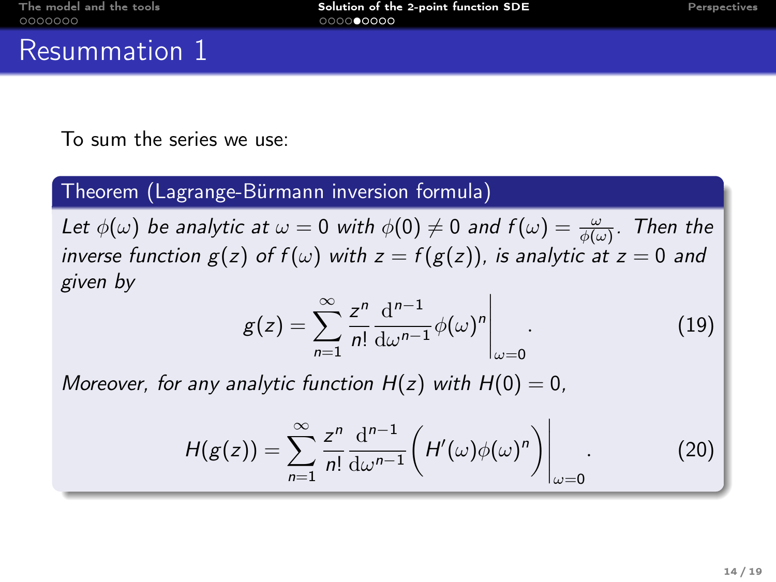### <span id="page-19-0"></span>Resummation 1

To sum the series we use:

#### Theorem (Lagrange-Bürmann inversion formula)

Let  $\phi(\omega)$  be analytic at  $\omega=0$  with  $\phi(0)\neq 0$  and  $f(\omega)=\frac{\omega}{\phi(\omega)}.$  Then the inverse function  $g(z)$  of  $f(\omega)$  with  $z = f(g(z))$ , is analytic at  $z = 0$  and given by

$$
g(z) = \sum_{n=1}^{\infty} \frac{z^n}{n!} \frac{d^{n-1}}{d\omega^{n-1}} \phi(\omega)^n \Big|_{\omega=0}.
$$
 (19)

Moreover, for any analytic function  $H(z)$  with  $H(0) = 0$ ,

$$
H(g(z)) = \sum_{n=1}^{\infty} \frac{z^n}{n!} \frac{d^{n-1}}{d\omega^{n-1}} \left( H'(\omega) \phi(\omega)^n \right) \Big|_{\omega=0}.
$$
 (20)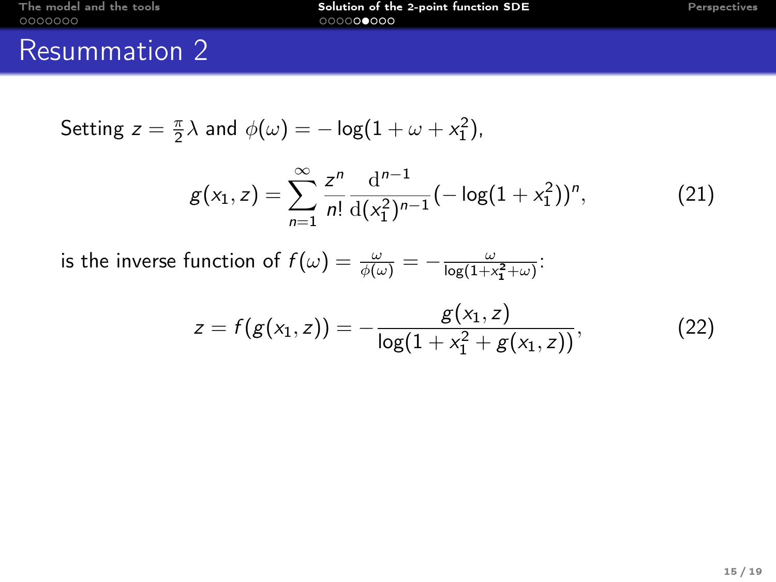# Resummation 2

Setting 
$$
z = \frac{\pi}{2}\lambda
$$
 and  $\phi(\omega) = -\log(1 + \omega + x_1^2)$ ,

$$
g(x_1, z) = \sum_{n=1}^{\infty} \frac{z^n}{n!} \frac{d^{n-1}}{d(x_1^2)^{n-1}} \left(-\log(1+x_1^2)\right)^n, \tag{21}
$$

is the inverse function of  $f(\omega) = \frac{\omega}{\phi(\omega)} = -\frac{\omega}{\log(1+x_1^2+\omega)}$ :

$$
z = f(g(x_1, z)) = -\frac{g(x_1, z)}{\log(1 + x_1^2 + g(x_1, z))},
$$
\n(22)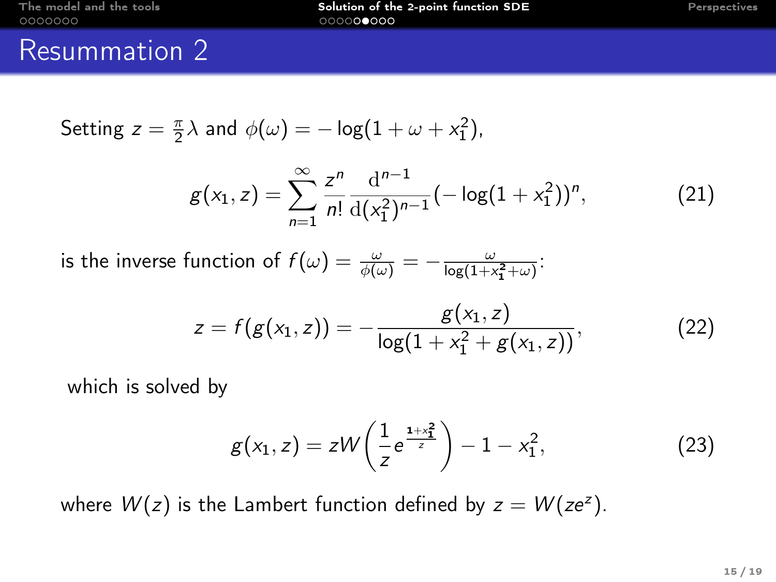### Resummation 2

Setting 
$$
z = \frac{\pi}{2}\lambda
$$
 and  $\phi(\omega) = -\log(1 + \omega + x_1^2)$ ,

$$
g(x_1, z) = \sum_{n=1}^{\infty} \frac{z^n}{n!} \frac{d^{n-1}}{d(x_1^2)^{n-1}} (-\log(1+x_1^2))^n, \tag{21}
$$

is the inverse function of  $f(\omega) = \frac{\omega}{\phi(\omega)} = -\frac{\omega}{\log(1+x_1^2+\omega)}$ :

$$
z = f(g(x_1, z)) = -\frac{g(x_1, z)}{\log(1 + x_1^2 + g(x_1, z))},
$$
\n(22)

which is solved by

$$
g(x_1, z) = zW\left(\frac{1}{z}e^{\frac{1+x_1^2}{z}}\right) - 1 - x_1^2, \tag{23}
$$

where  $W(z)$  is the Lambert function defined by  $z = W(ze^{z})$ .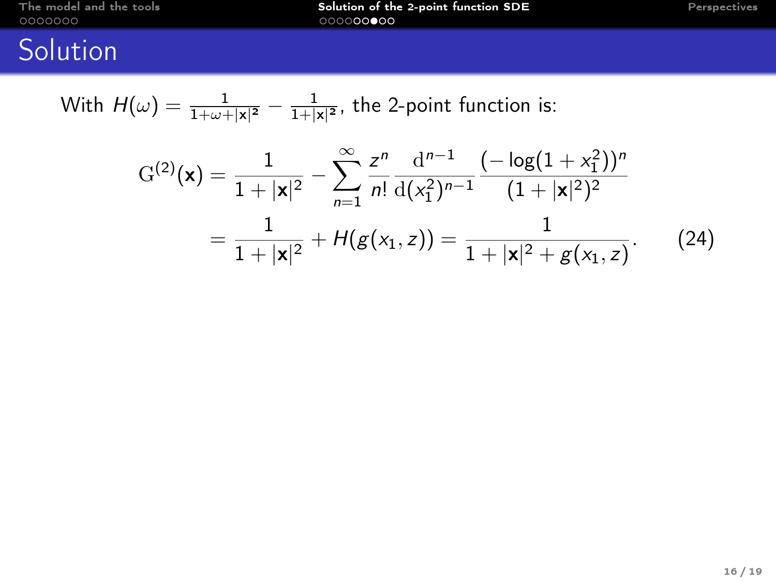# **Solution**

With 
$$
H(\omega) = \frac{1}{1 + \omega + |x|^2} - \frac{1}{1 + |x|^2}
$$
, the 2-point function is:

$$
G^{(2)}(\mathbf{x}) = \frac{1}{1+|\mathbf{x}|^2} - \sum_{n=1}^{\infty} \frac{z^n}{n!} \frac{d^{n-1}}{d(x_1^2)^{n-1}} \frac{(-\log(1+x_1^2))^n}{(1+|\mathbf{x}|^2)^2}
$$

$$
= \frac{1}{1+|\mathbf{x}|^2} + H(g(x_1,z)) = \frac{1}{1+|\mathbf{x}|^2 + g(x_1,z)}.
$$
(24)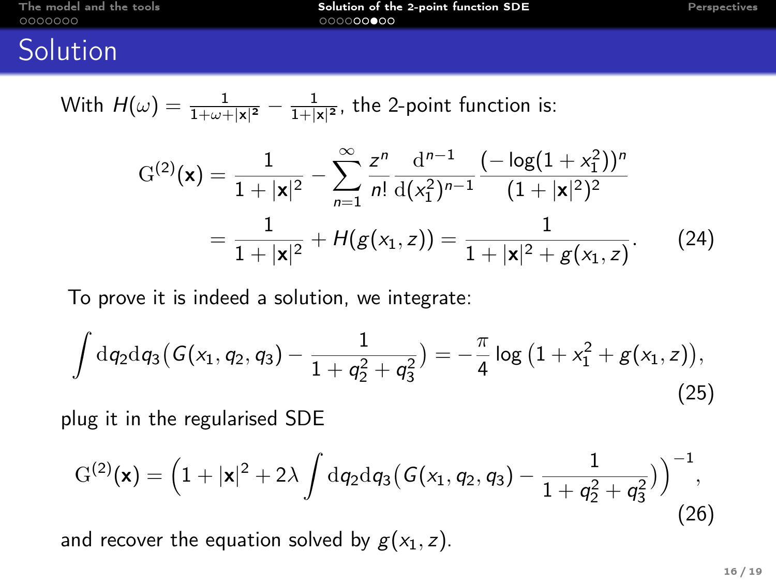## **Solution**

With 
$$
H(\omega) = \frac{1}{1 + \omega + |x|^2} - \frac{1}{1 + |x|^2}
$$
, the 2-point function is:

$$
G^{(2)}(\mathbf{x}) = \frac{1}{1+|\mathbf{x}|^2} - \sum_{n=1}^{\infty} \frac{z^n}{n!} \frac{d^{n-1}}{d(x_1^2)^{n-1}} \frac{(-\log(1+x_1^2))^n}{(1+|\mathbf{x}|^2)^2}
$$

$$
= \frac{1}{1+|\mathbf{x}|^2} + H(g(x_1,z)) = \frac{1}{1+|\mathbf{x}|^2 + g(x_1,z)}.
$$
(24)

To prove it is indeed a solution, we integrate:

$$
\int dq_2 dq_3 (G(x_1, q_2, q_3) - \frac{1}{1 + q_2^2 + q_3^2}) = -\frac{\pi}{4} \log (1 + x_1^2 + g(x_1, z)),
$$
\n(25)

plug it in the regularised SDE

$$
G^{(2)}(\mathbf{x}) = \left(1 + |\mathbf{x}|^2 + 2\lambda \int dq_2 dq_3 (G(x_1, q_2, q_3) - \frac{1}{1 + q_2^2 + q_3^2})\right)^{-1},
$$
  
and recover the equation solved by  $g(x_1, z)$ . (26)

16 / 19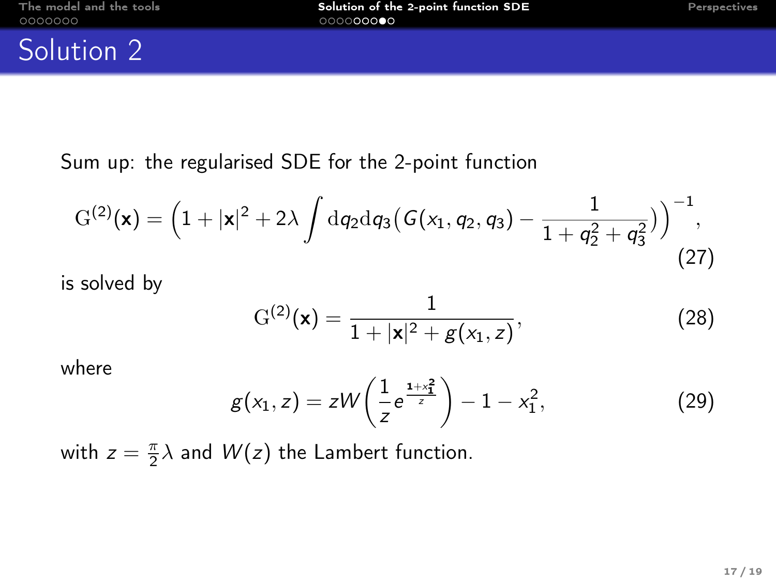### Solution 2

Sum up: the regularised SDE for the 2-point function

$$
G^{(2)}(\mathbf{x}) = \left(1 + |\mathbf{x}|^2 + 2\lambda \int dq_2 dq_3 \left(G(x_1, q_2, q_3) - \frac{1}{1 + q_2^2 + q_3^2}\right)\right)^{-1},\tag{27}
$$

is solved by

$$
G^{(2)}(\mathbf{x}) = \frac{1}{1+|\mathbf{x}|^2 + g(x_1, z)},
$$
\n(28)

where

$$
g(x_1, z) = zW\left(\frac{1}{z}e^{\frac{1+x_1^2}{z}}\right) - 1 - x_1^2, \tag{29}
$$

with  $z = \frac{\pi}{2}\lambda$  and  $W(z)$  the Lambert function.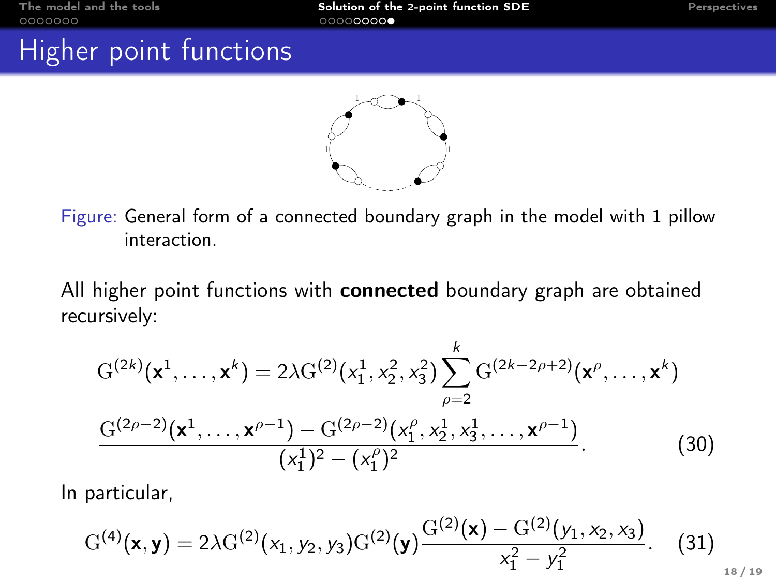# Higher point functions



Figure: General form of a connected boundary graph in the model with 1 pillow interaction.

All higher point functions with **connected** boundary graph are obtained recursively:

$$
G^{(2k)}(\mathbf{x}^1, \dots, \mathbf{x}^k) = 2\lambda G^{(2)}(x_1^1, x_2^2, x_3^2) \sum_{\rho=2}^k G^{(2k-2\rho+2)}(\mathbf{x}^{\rho}, \dots, \mathbf{x}^k)
$$

$$
\frac{G^{(2\rho-2)}(\mathbf{x}^1, \dots, \mathbf{x}^{\rho-1}) - G^{(2\rho-2)}(x_1^{\rho}, x_2^1, x_3^1, \dots, \mathbf{x}^{\rho-1})}{(x_1^1)^2 - (x_1^{\rho})^2}.
$$
(30)

In particular,

$$
G^{(4)}(\mathbf{x}, \mathbf{y}) = 2\lambda G^{(2)}(x_1, y_2, y_3) G^{(2)}(\mathbf{y}) \frac{G^{(2)}(\mathbf{x}) - G^{(2)}(y_1, x_2, x_3)}{x_1^2 - y_1^2}.
$$
 (31)